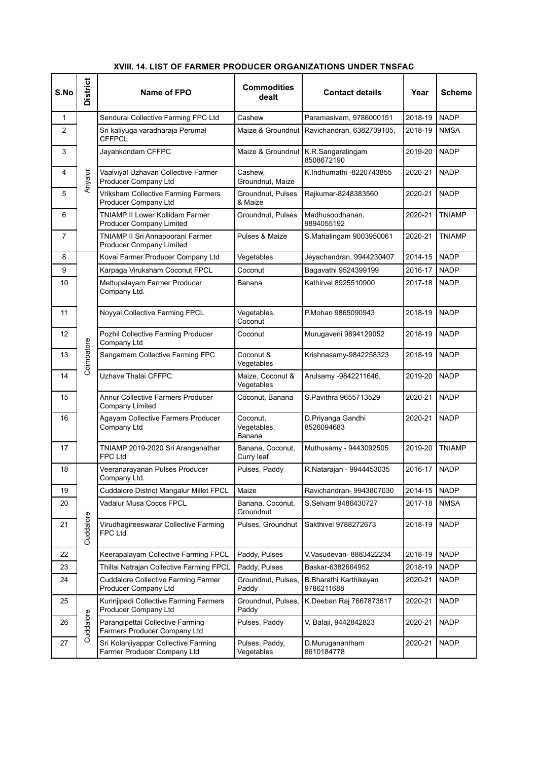#### **S.No District Name of FPO Commodities dealt Contact details Year Scheme** 1 Ariyalur Sendurai Collective Farming FPC Ltd Cashew Paramasivam, 9786000151 2018-19 NADP 2 | Sri kaliyuga varadharaja Perumal **CFFPCL** Maize & Groundnut | Ravichandran, 6382739105, | 2018-19 | NMSA 3 | Jayankondam CFFPC Maize & Groundnut K.R.Sangaralingam 8508672190 2019-20 NADP 4 5 Vaalviyal Uzhavan Collective Farmer Producer Company Ltd Cashew, Groundnut, Maize K.Indhumathi -8220743855 2020-21 NADP 5 **Vriksham Collective Farming Farmers** Producer Company Ltd Groundnut, Pulses & Maize Rajkumar-8248383560 2020-21 NADP 6 | TNIAMP II Lower Kollidam Farmer Producer Company Limited Groundnut, Pulses | Madhusoodhanan, 9894055192 2020-21 TNIAMP 7 TNIAMP II Sri Annapoorani Farmer Producer Company Limited Pulses & Maize | S.Mahalingam 9003950061 | 2020-21 | TNIAMP **8** Coimbatore Kovai Farmer Producer Company Ltd Vegetables Jeyachandran, 9944230407 2014-15 NADP 9 Karpaga Viruksham Coconut FPCL Coconut Bagavathi 9524399199 2016-17 NADP 10 | Mettupalayam Farmer Producer Company Ltd. Banana Kathirvel 8925510900 2017-18 NADP 11 | Noyyal Collective Farming FPCL | Vegetables, **Coconut** P.Mohan 9865090943 2018-19 NADP 12 **Pozhil Collective Farming Producer** Company Ltd Coconut Murugaveni 9894129052 2018-19 NADP End of the Company Ltd<br>
13 Sangamam Collective Farming FPC Coconut &<br>
Coconut &<br>
Conserved by the Contract of the Conserved Band of the Conserved Band of the Conserved Band of the Conserved Band of the Conserved Band of th Vegetables Krishnasamv-9842258323 | 2018-19 NADP 14 | <sup>O</sup> Uzhave Thalai CFFPC Maize, Coconut & Vegetables Arulsamy -9842211646, 2019-20 NADP 15 | Annur Collective Farmers Producer Company Limited Coconut, Banana  $\left| \text{S.Pavithra } 9655713529 \right| 2020-21 \left| \text{NADP} \right|$ 16 | Agayam Collective Farmers Producer Company Ltd Coconut, Vegetables, Banana D.Priyanga Gandhi 8526094683 2020-21 NADP 17 | TNIAMP 2019-2020 Sri Aranganathar FPC Ltd Banana, Coconut, Curry leaf Muthusamy - 9443092505 | 2019-20 TNIAMP 18 Cuddalore Veeranarayanan Pulses Producer Company Ltd. Pulses, Paddy R.Natarajan - 9944453035 2016-17 NADP 19 Cuddalore District Mangalur Millet FPCL Maize Ravichandran- 9943807030 2014-15 NADP 20 Vadalur Musa Cocos FPCL Banana, Coconut, Groundnut S.Selvam 9486430727 2017-18 NMSA 21 also<br>Virudhagireeswarar Collective Farming<br>FPC Ltd<br>COLLECT FPC Ltd Pulses, Groundnut | Sakthivel 9788272673 | 2018-19 NADP 22 Keerapalayam Collective Farming FPCL Paddy, Pulses V.Vasudevan-8883422234 2018-19 NADP 23 Thillai Natrajan Collective Farming FPCL Paddy, Pulses Baskar-6382664952 | 2018-19 NADP 24 | Cuddalore Collective Farming Farmer Producer Company Ltd Groundnut, Pulses, Paddy B.Bharathi Karthikeyan 9786211688 2020-21 NADP  $25$ Cuddalore Kurinjipadi Collective Farming Farmers Producer Company Ltd Groundnut, Pulses, Paddy K.Deeban Raj 7667873617 2020-21 NADP 26 Parangipettai Collective Farming<br>
Parangipettai Collective Farming<br>
Parmers Producer Company Ltd<br>
Parmers Producer Company Ltd Farmers Producer Company Ltd Pulses, Paddy | V. Balaji, 9442842823 | 2020-21 NADP 27  $\vert$   $\circ$  Sri Kolanjiyappar Collective Farming Farmer Producer Company Ltd Pulses, Paddy, Vegetables D.Muruganantham 8610184778 2020-21 NADP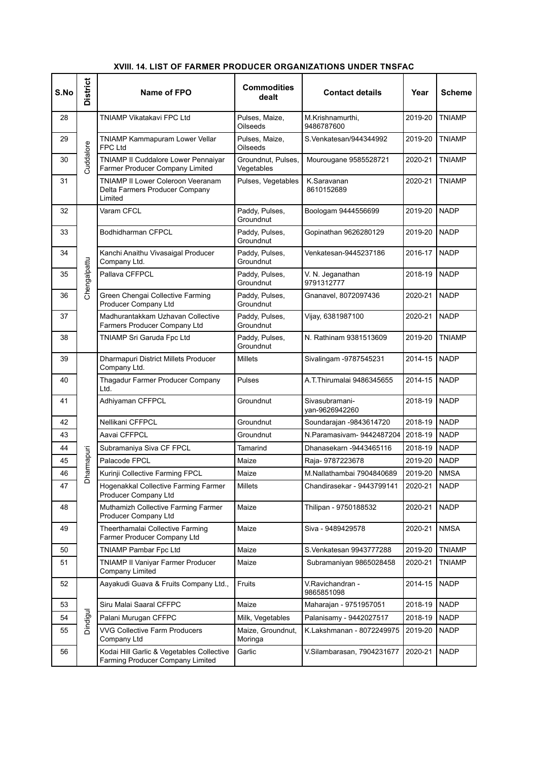| S.No | <b>District</b> | Name of FPO                                                                           | <b>Commodities</b><br>dealt      | <b>Contact details</b>           | Year    | Scheme        |
|------|-----------------|---------------------------------------------------------------------------------------|----------------------------------|----------------------------------|---------|---------------|
| 28   |                 | TNIAMP Vikatakavi FPC Ltd                                                             | Pulses, Maize,<br>Oilseeds       | M.Krishnamurthi,<br>9486787600   | 2019-20 | <b>TNIAMP</b> |
| 29   |                 | TNIAMP Kammapuram Lower Vellar<br><b>FPC Ltd</b>                                      | Pulses, Maize,<br>Oilseeds       | S.Venkatesan/944344992           | 2019-20 | <b>TNIAMP</b> |
| 30   | Cuddalore       | TNIAMP II Cuddalore Lower Pennaiyar<br>Farmer Producer Company Limited                | Groundnut, Pulses,<br>Vegetables | Mourougane 9585528721            | 2020-21 | <b>TNIAMP</b> |
| 31   |                 | <b>TNIAMP II Lower Coleroon Veeranam</b><br>Delta Farmers Producer Company<br>Limited | Pulses, Vegetables               | K.Saravanan<br>8610152689        | 2020-21 | <b>TNIAMP</b> |
| 32   |                 | Varam CFCL                                                                            | Paddy, Pulses,<br>Groundnut      | Boologam 9444556699              | 2019-20 | <b>NADP</b>   |
| 33   |                 | <b>Bodhidharman CFPCL</b>                                                             | Paddy, Pulses,<br>Groundnut      | Gopinathan 9626280129            | 2019-20 | <b>NADP</b>   |
| 34   |                 | Kanchi Anaithu Vivasaigal Producer<br>Company Ltd.                                    | Paddy, Pulses,<br>Groundnut      | Venkatesan-9445237186            | 2016-17 | <b>NADP</b>   |
| 35   | Chengalpattu    | Pallava CFFPCL                                                                        | Paddy, Pulses,<br>Groundnut      | V. N. Jeganathan<br>9791312777   | 2018-19 | <b>NADP</b>   |
| 36   |                 | Green Chengai Collective Farming<br><b>Producer Company Ltd</b>                       | Paddy, Pulses,<br>Groundnut      | Gnanavel, 8072097436             | 2020-21 | <b>NADP</b>   |
| 37   |                 | Madhurantakkam Uzhavan Collective<br>Farmers Producer Company Ltd                     | Paddy, Pulses,<br>Groundnut      | Vijay, 6381987100                | 2020-21 | <b>NADP</b>   |
| 38   |                 | TNIAMP Sri Garuda Fpc Ltd                                                             | Paddy, Pulses,<br>Groundnut      | N. Rathinam 9381513609           | 2019-20 | <b>TNIAMP</b> |
| 39   |                 | Dharmapuri District Millets Producer<br>Company Ltd.                                  | <b>Millets</b>                   | Sivalingam -9787545231           | 2014-15 | <b>NADP</b>   |
| 40   |                 | Thagadur Farmer Producer Company<br>Ltd.                                              | Pulses                           | A.T.Thirumalai 9486345655        | 2014-15 | <b>NADP</b>   |
| 41   |                 | Adhiyaman CFFPCL                                                                      | Groundnut                        | Sivasubramani-<br>yan-9626942260 | 2018-19 | <b>NADP</b>   |
| 42   |                 | Nellikani CFFPCL                                                                      | Groundnut                        | Soundarajan -9843614720          | 2018-19 | <b>NADP</b>   |
| 43   |                 | Aavai CFFPCL                                                                          | Groundnut                        | N.Paramasivam-9442487204         | 2018-19 | <b>NADP</b>   |
| 44   |                 | Subramaniya Siva CF FPCL                                                              | Tamarind                         | Dhanasekarn -9443465116          | 2018-19 | <b>NADP</b>   |
| 45   | harmapuri       | Palacode FPCL                                                                         | Maize                            | Raja- 9787223678                 | 2019-20 | <b>NADP</b>   |
| 46   |                 | Kurinji Collective Farming FPCL                                                       | Maize                            | M.Nallathambai 7904840689        | 2019-20 | <b>NMSA</b>   |
| 47   | ۵               | Hogenakkal Collective Farming Farmer<br>Producer Company Ltd                          | Millets                          | Chandirasekar - 9443799141       | 2020-21 | NADP          |
| 48   |                 | Muthamizh Collective Farming Farmer<br>Producer Company Ltd                           | Maize                            | Thilipan - 9750188532            | 2020-21 | <b>NADP</b>   |
| 49   |                 | Theerthamalai Collective Farming<br>Farmer Producer Company Ltd                       | Maize                            | Siva - 9489429578                | 2020-21 | <b>NMSA</b>   |
| 50   |                 | <b>TNIAMP Pambar Fpc Ltd</b>                                                          | Maize                            | S.Venkatesan 9943777288          | 2019-20 | <b>TNIAMP</b> |
| 51   |                 | TNIAMP II Vaniyar Farmer Producer<br>Company Limited                                  | Maize                            | Subramaniyan 9865028458          | 2020-21 | <b>TNIAMP</b> |
| 52   |                 | Aayakudi Guava & Fruits Company Ltd.,                                                 | Fruits                           | V.Ravichandran -<br>9865851098   | 2014-15 | NADP          |
| 53   |                 | Siru Malai Saaral CFFPC                                                               | Maize                            | Maharajan - 9751957051           | 2018-19 | <b>NADP</b>   |
| 54   | Dindigul        | Palani Murugan CFFPC                                                                  | Milk, Vegetables                 | Palanisamy - 9442027517          | 2018-19 | <b>NADP</b>   |
| 55   |                 | <b>VVG Collective Farm Producers</b><br>Company Ltd                                   | Maize, Groundnut,<br>Moringa     | K.Lakshmanan - 8072249975        | 2019-20 | <b>NADP</b>   |
| 56   |                 | Kodai Hill Garlic & Vegetables Collective<br>Farming Producer Company Limited         | Garlic                           | V.Silambarasan, 7904231677       | 2020-21 | NADP          |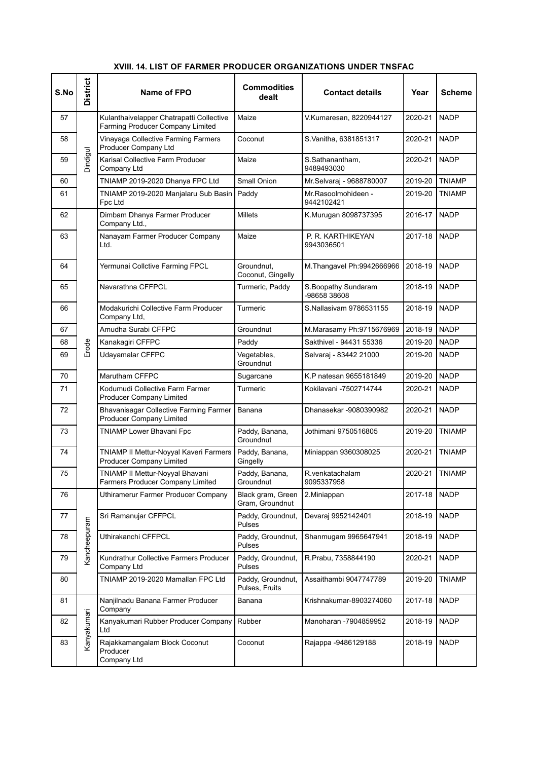| S.No | <b>District</b> | Name of FPO                                                                  | <b>Commodities</b><br>dealt          | <b>Contact details</b>               | Year    | Scheme        |
|------|-----------------|------------------------------------------------------------------------------|--------------------------------------|--------------------------------------|---------|---------------|
| 57   |                 | Kulanthaivelapper Chatrapatti Collective<br>Farming Producer Company Limited | Maize                                | V.Kumaresan, 8220944127              | 2020-21 | <b>NADP</b>   |
| 58   |                 | Vinayaga Collective Farming Farmers<br>Producer Company Ltd                  | Coconut                              | S.Vanitha, 6381851317                | 2020-21 | <b>NADP</b>   |
| 59   | Dindigul        | Karisal Collective Farm Producer<br>Company Ltd                              | Maize                                | S.Sathanantham,<br>9489493030        | 2020-21 | <b>NADP</b>   |
| 60   |                 | TNIAMP 2019-2020 Dhanya FPC Ltd                                              | Small Onion                          | Mr.Selvaraj - 9688780007             | 2019-20 | <b>TNIAMP</b> |
| 61   |                 | TNIAMP 2019-2020 Manjalaru Sub Basin<br>Fpc Ltd                              | Paddy                                | Mr.Rasoolmohideen -<br>9442102421    | 2019-20 | TNIAMP        |
| 62   |                 | Dimbam Dhanya Farmer Producer<br>Company Ltd.,                               | <b>Millets</b>                       | K.Murugan 8098737395                 | 2016-17 | <b>NADP</b>   |
| 63   |                 | Nanayam Farmer Producer Company<br>Ltd.                                      | Maize                                | P. R. KARTHIKEYAN<br>9943036501      | 2017-18 | <b>NADP</b>   |
| 64   |                 | Yermunai Collctive Farming FPCL                                              | Groundnut,<br>Coconut, Gingelly      | M. Thangavel Ph: 9942666966          | 2018-19 | <b>NADP</b>   |
| 65   |                 | Navarathna CFFPCL                                                            | Turmeric, Paddy                      | S. Boopathy Sundaram<br>-98658 38608 | 2018-19 | <b>NADP</b>   |
| 66   |                 | Modakurichi Collective Farm Producer<br>Company Ltd,                         | Turmeric                             | S.Nallasivam 9786531155              | 2018-19 | <b>NADP</b>   |
| 67   |                 | Amudha Surabi CFFPC                                                          | Groundnut                            | M.Marasamy Ph.9715676969             | 2018-19 | <b>NADP</b>   |
| 68   | Erode           | Kanakagiri CFFPC                                                             | Paddy                                | Sakthivel - 94431 55336              | 2019-20 | <b>NADP</b>   |
| 69   |                 | Udayamalar CFFPC                                                             | Vegetables,<br>Groundnut             | Selvaraj - 83442 21000               | 2019-20 | <b>NADP</b>   |
| 70   |                 | <b>Marutham CFFPC</b>                                                        | Sugarcane                            | K.P natesan 9655181849               | 2019-20 | <b>NADP</b>   |
| 71   |                 | Kodumudi Collective Farm Farmer<br><b>Producer Company Limited</b>           | Turmeric                             | Kokilavani -7502714744               | 2020-21 | <b>NADP</b>   |
| 72   |                 | Bhavanisagar Collective Farming Farmer<br><b>Producer Company Limited</b>    | Banana                               | Dhanasekar -9080390982               | 2020-21 | <b>NADP</b>   |
| 73   |                 | TNIAMP Lower Bhavani Fpc                                                     | Paddy, Banana,<br>Groundnut          | Jothimani 9750516805                 | 2019-20 | <b>TNIAMP</b> |
| 74   |                 | TNIAMP II Mettur-Noyyal Kaveri Farmers<br><b>Producer Company Limited</b>    | Paddy, Banana,<br>Gingelly           | Miniappan 9360308025                 | 2020-21 | <b>TNIAMP</b> |
| 75   |                 | TNIAMP II Mettur-Noyyal Bhavani<br>Farmers Producer Company Limited          | Paddy, Banana,<br>Groundnut          | R. venkatachalam<br>9095337958       | 2020-21 | <b>TNIAMP</b> |
| 76   |                 | Uthiramerur Farmer Producer Company                                          | Black gram, Green<br>Gram, Groundnut | 2. Miniappan                         | 2017-18 | <b>NADP</b>   |
| 77   |                 | Sri Ramanujar CFFPCL                                                         | Paddy, Groundnut,<br><b>Pulses</b>   | Devaraj 9952142401                   | 2018-19 | <b>NADP</b>   |
| 78   | Kancheepuram    | Uthirakanchi CFFPCL                                                          | Paddy, Groundnut,<br>Pulses          | Shanmugam 9965647941                 | 2018-19 | <b>NADP</b>   |
| 79   |                 | Kundrathur Collective Farmers Producer<br>Company Ltd                        | Paddy, Groundnut,<br>Pulses          | R.Prabu, 7358844190                  | 2020-21 | <b>NADP</b>   |
| 80   |                 | TNIAMP 2019-2020 Mamallan FPC Ltd                                            | Paddy, Groundnut,<br>Pulses, Fruits  | Assaithambi 9047747789               | 2019-20 | <b>TNIAMP</b> |
| 81   |                 | Nanjilnadu Banana Farmer Producer<br>Company                                 | Banana                               | Krishnakumar-8903274060              | 2017-18 | <b>NADP</b>   |
| 82   | Kanyakumari     | Kanyakumari Rubber Producer Company<br>Ltd                                   | Rubber                               | Manoharan -7904859952                | 2018-19 | <b>NADP</b>   |
| 83   |                 | Rajakkamangalam Block Coconut<br>Producer<br>Company Ltd                     | Coconut                              | Rajappa - 9486129188                 | 2018-19 | <b>NADP</b>   |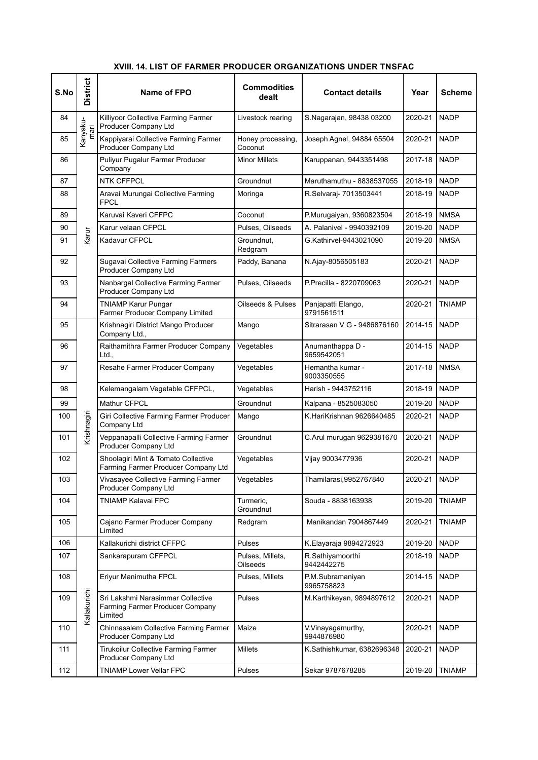#### **S.No District Name of FPO** <br>**Commodities dealt Contact details Year Scheme**  $84$ Kanyakumari Killiyoor Collective Farming Farmer Producer Company Ltd Livestock rearing  $\Big|$  S.Nagarajan, 98438 03200 2020-21 NADP 85  $\left| \begin{array}{c} 1 \ \widehat{m} \end{array} \right|$  Kappiyarai Collective Farming Farmer Producer Company Ltd Honey processing, **Coconut** Joseph Agnel, 94884 65504 2020-21 NADP 86 Karur Puliyur Pugalur Farmer Producer Company Minor Millets | Karuppanan, 9443351498 | 2017-18 NADP 87 NTK CFFPCL Groundnut Maruthamuthu - 8838537055 2018-19 NADP 88 **Aravai Murungai Collective Farming** FPCL Moringa R.Selvaraj- 7013503441 2018-19 NADP 89 | Karuvai Kaveri CFFPC | Coconut | P.Murugaiyan, 9360823504 | 2018-19 | NMSA 90 | Karur velaan CFPCL | Pulses, Oilseeds | A. Palanivel - 9940392109 | 2019-20 NADP 91  $\sqrt{9}$  Kadavur CFPCL Groundnut. Redgram G.Kathirvel-9443021090 | 2019-20 | NMSA 92 | Sugavai Collective Farming Farmers Producer Company Ltd Paddy, Banana N.Ajay-8056505183 2020-21 NADP 93 | Nanbargal Collective Farming Farmer Producer Company Ltd Pulses, Oilseeds P.Precilla - 8220709063 2020-21 NADP 94 | TNIAMP Karur Pungar Farmer Producer Company Limited Oilseeds & Pulses | Panjapatti Elango, 9791561511 2020-21 TNIAMP 95 Krishnagiri Krishnagiri District Mango Producer Company Ltd., Mango Sitrarasan V G - 9486876160 2014-15 NADP 96 | Raithamithra Farmer Producer Company  $ht$ Vegetables | Anumanthappa D -9659542051 2014-15 NADP 97 | Resahe Farmer Producer Company | Vegetables | Hemantha kumar -9003350555 2017-18 NMSA 98 Kelemangalam Vegetable CFFPCL, Vegetables Harish - 9443752116 | 2018-19 NADP 99 Mathur CFPCL Groundnut Kalpana - 8525083050 2019-20 NADP 100 Giri Collective Farming Farmer Producer<br>
Company Ltd<br>
101 Giri Collective Farming Farmer<br>
Veppanapalli Collective Farming Farmer Company Ltd Mango K.HariKrishnan 9626640485 2020-21 NADP 101 |  $\frac{\overline{\omega}}{\sqrt{2}}$  | Veppanapalli Collective Farming Farmer Producer Company Ltd Groundnut | C.Arul murugan 9629381670 | 2020-21 | NADP 102 Shoolagiri Mint & Tomato Collective Farming Farmer Producer Company Ltd Vegetables | Vijay 9003477936 | 2020-21 NADP 103 Vivasayee Collective Farming Farmer Producer Company Ltd Vegetables Thamilarasi,9952767840 2020-21 NADP 104 | TNIAMP Kalavai FPC | Turmeric, **Groundnut** Souda - 8838163938 2019-20 TNIAMP 105 | Cajano Farmer Producer Company Limited Redgram Manikandan 7904867449 2020-21 TNIAMP 106 Kallakurichi Kallakurichi district CFFPC Pulses K.Elayaraja 9894272923 2019-20 NADP 107 Sankarapuram CFFPCL Pulses, Millets, **Oilseeds** R.Sathiyamoorthi 9442442275 2018-19 NADP 108 **Eriyur Manimutha FPCL** Pulses, Millets P.M.Subramaniyan 9965758823 2014-15 NADP 109 Sri Lakshmi Narasimmar Collective<br>
Externing Farmer Producer Company<br>
Limited<br>
Support of the Limited Farming Farmer Producer Company **Limited** Pulses M.Karthikeyan, 9894897612 2020-21 NADP 110 |  $\leq$  | Chinnasalem Collective Farming Farmer Producer Company Ltd Maize **V.Vinayagamurthy,** 9944876980 2020-21 NADP 111 Tirukoilur Collective Farming Farmer Producer Company Ltd Millets K.Sathishkumar, 6382696348 2020-21 NADP 112 TNIAMP Lower Vellar FPC Pulses Sekar 9787678285 2019-20 TNIAMP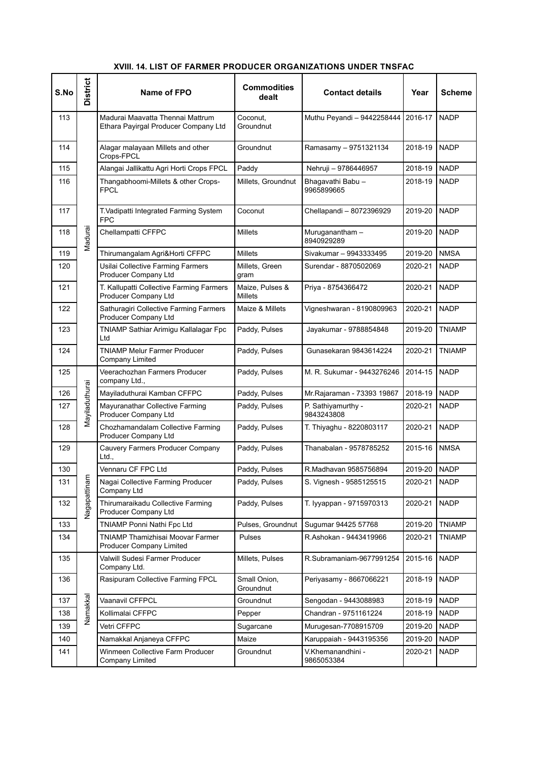### **S.No District Name of FPO Commodities dealt Contact details Year Scheme** 113 Madurai Madurai Maavatta Thennai Mattrum Ethara Payirgal Producer Company Ltd Coconut, Groundnut Muthu Peyandi - 9442258444 2016-17 NADP 114 | Alagar malayaan Millets and other Crops-FPCL Groundnut Ramasamy – 9751321134 2018-19 NADP 115 Alangai Jallikattu Agri Horti Crops FPCL Paddy Nehruji – 9786446957 2018-19 NADP 116 | Thangabhoomi-Millets & other Crops-FPCL Millets, Groundnut | Bhagavathi Babu -9965899665 2018-19 NADP 117 | T.Vadipatti Integrated Farming System FPC Coconut Chellapandi – 8072396929 2019-20 NADP 118 G Chellampatti CFFPC Millets Muruganantham –<br>
E Chellampatti CFFPC Millets Muruganantham –<br>
B Chellampatti CFFPC 8940929289 2019-20 NADP 119 | E Thirumangalam Agri&Horti CFFPC | Millets | Sivakumar – 9943333495 | 2019-20 | NMSA 120 | Usilai Collective Farming Farmers Producer Company Ltd Millets, Green gram Surendar - 8870502069 2020-21 NADP 121 | T. Kallupatti Collective Farming Farmers Producer Company Ltd Maize, Pulses & Millets Priya - 8754366472 2020-21 NADP 122 | Sathuragiri Collective Farming Farmers Producer Company Ltd Maize & Millets | Vigneshwaran - 8190809963 | 2020-21 | NADP 123 | TNIAMP Sathiar Arimigu Kallalagar Fpc Ltd Paddy, Pulses | Jayakumar - 9788854848 | 2019-20 TNIAMP 124 TNIAMP Melur Farmer Producer Company Limited Paddy, Pulses | Gunasekaran 9843614224 | 2020-21 | TNIAMP 125 Mayiladuthurai Veerachozhan Farmers Producer company Ltd., Paddy, Pulses | M. R. Sukumar - 9443276246 | 2014-15 | NADP The Company Ltd.,<br>
126 Mayiladuthurai Kamban CFFPC Paddy, Pulses Mr.Rajaraman - 73393 19867 2018-19 NADP<br>
127 Mayuranathar Collective Farming Paddy, Pulses P. Sathiyamurthy - 2020-21 NADP<br>
128 Producer Company Ltd<br>
128 Pro 127 |  $\frac{1}{R}$  | Mayuranathar Collective Farming Producer Company Ltd Paddy, Pulses  $\bigcap$  P. Sathiyamurthy -9843243808 2020-21 NADP  $\overline{128}$   $\geq$   $\overline{\phantom{1}}$  Chozhamandalam Collective Farming Producer Company Ltd Paddy, Pulses | T. Thiyaghu - 8220803117 | 2020-21 NADP 129 Nagapattinam Cauvery Farmers Producer Company Ltd., Paddy, Pulses | Thanabalan - 9578785252 | 2015-16 NMSA 130 Vennaru CF FPC Ltd Paddy, Pulses R.Madhavan 9585756894 2019-20 NADP 131 Early Magai Collective Farming Producer<br>
132 Baggi Thirumaraikadu Collective Farming<br>
Producer Company Ltd<br>
Producer Company Ltd Company Ltd Paddy, Pulses S. Vignesh - 9585125515 2020-21 NADP 132 |  $\frac{1}{6}$  Thirumaraikadu Collective Farming Producer Company Ltd Paddy, Pulses | T. Iyyappan - 9715970313 | 2020-21 | NADP 133 TIMIAMP Ponni Nathi Fpc Ltd Pulses, Groundnut Sugumar 94425 57768 2019-20 TNIAMP 134 | TNIAMP Thamizhisai Moovar Farmer Producer Company Limited Pulses R.Ashokan - 9443419966 2020-21 TNIAMP 135 Namakkal Valwill Sudesi Farmer Producer Company Ltd. Millets, Pulses R.Subramaniam-9677991254 2015-16 NADP 136 Rasipuram Collective Farming FPCL Small Onion, Groundnut Periyasamy - 8667066221 | 2018-19 NADP 137 Vaanavil CFFPCL Groundnut Sengodan - 9443088983 2018-19 NADP<br>
138 Kollimalai CFFPC Pepper Chandran - 9751161224 2018-19 NADP 138 Kollimalai CFFPC Pepper Chandran - 9751161224 2018-19 NADP

139 <sup>Z</sup> Vetri CFFPC Sugarcane Murugesan-7708915709 2019-20 NADP 140 Namakkal Anjaneya CFFPC Maize Karuppaiah - 9443195356 2019-20 NADP

Groundnut V.Khemanandhini -

9865053384

2020-21 NADP

141 | Winmeen Collective Farm Producer Company Limited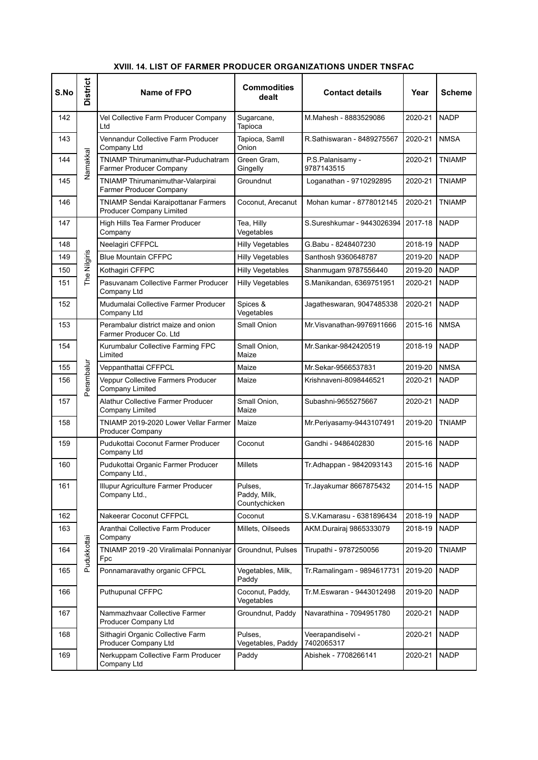|  |  |  |  | XVIII. 14. LIST OF FARMER PRODUCER ORGANIZATIONS UNDER TNSFAC |  |
|--|--|--|--|---------------------------------------------------------------|--|
|--|--|--|--|---------------------------------------------------------------|--|

| S.No | <b>District</b> | Name of FPO                                                                 | <b>Commodities</b><br>dealt              | <b>Contact details</b>          | Year    | <b>Scheme</b> |
|------|-----------------|-----------------------------------------------------------------------------|------------------------------------------|---------------------------------|---------|---------------|
| 142  |                 | Vel Collective Farm Producer Company<br>Ltd                                 | Sugarcane,<br>Tapioca                    | M.Mahesh - 8883529086           | 2020-21 | <b>NADP</b>   |
| 143  |                 | Vennandur Collective Farm Producer<br>Company Ltd                           | Tapioca, Samll<br>Onion                  | R.Sathiswaran - 8489275567      | 2020-21 | <b>NMSA</b>   |
| 144  | Namakkal        | <b>TNIAMP Thirumanimuthar-Puduchatram</b><br><b>Farmer Producer Company</b> | Green Gram,<br>Gingelly                  | P.S.Palanisamy -<br>9787143515  | 2020-21 | <b>TNIAMP</b> |
| 145  |                 | <b>TNIAMP Thirumanimuthar-Valarpirai</b><br><b>Farmer Producer Company</b>  | Groundnut                                | Loganathan - 9710292895         | 2020-21 | <b>TNIAMP</b> |
| 146  |                 | TNIAMP Sendai Karaipottanar Farmers<br><b>Producer Company Limited</b>      | Coconut, Arecanut                        | Mohan kumar - 8778012145        | 2020-21 | <b>TNIAMP</b> |
| 147  |                 | High Hills Tea Farmer Producer<br>Company                                   | Tea, Hilly<br>Vegetables                 | S.Sureshkumar - 9443026394      | 2017-18 | <b>NADP</b>   |
| 148  |                 | Neelagiri CFFPCL                                                            | <b>Hilly Vegetables</b>                  | G.Babu - 8248407230             | 2018-19 | <b>NADP</b>   |
| 149  |                 | <b>Blue Mountain CFFPC</b>                                                  | <b>Hilly Vegetables</b>                  | Santhosh 9360648787             | 2019-20 | <b>NADP</b>   |
| 150  | The Nilgiris    | Kothagiri CFFPC                                                             | <b>Hilly Vegetables</b>                  | Shanmugam 9787556440            | 2019-20 | <b>NADP</b>   |
| 151  |                 | Pasuvanam Collective Farmer Producer<br>Company Ltd                         | <b>Hilly Vegetables</b>                  | S.Manikandan, 6369751951        | 2020-21 | <b>NADP</b>   |
| 152  |                 | Mudumalai Collective Farmer Producer<br>Company Ltd                         | Spices &<br>Vegetables                   | Jagatheswaran, 9047485338       | 2020-21 | <b>NADP</b>   |
| 153  |                 | Perambalur district maize and onion<br>Farmer Producer Co. Ltd              | <b>Small Onion</b>                       | Mr. Visvanathan-9976911666      | 2015-16 | <b>NMSA</b>   |
| 154  |                 | Kurumbalur Collective Farming FPC<br>Limited                                | Small Onion,<br>Maize                    | Mr.Sankar-9842420519            | 2018-19 | <b>NADP</b>   |
| 155  |                 | Veppanthattai CFFPCL                                                        | Maize                                    | Mr.Sekar-9566537831             | 2019-20 | <b>NMSA</b>   |
| 156  | Perambalur      | Veppur Collective Farmers Producer<br><b>Company Limited</b>                | Maize                                    | Krishnaveni-8098446521          | 2020-21 | <b>NADP</b>   |
| 157  |                 | Alathur Collective Farmer Producer<br><b>Company Limited</b>                | Small Onion,<br>Maize                    | Subashni-9655275667             | 2020-21 | <b>NADP</b>   |
| 158  |                 | TNIAMP 2019-2020 Lower Vellar Farmer<br><b>Producer Company</b>             | Maize                                    | Mr.Periyasamy-9443107491        | 2019-20 | <b>TNIAMP</b> |
| 159  |                 | Pudukottai Coconut Farmer Producer<br>Company Ltd                           | Coconut                                  | Gandhi - 9486402830             | 2015-16 | <b>NADP</b>   |
| 160  |                 | Pudukottai Organic Farmer Producer<br>Company Ltd.,                         | <b>Millets</b>                           | Tr.Adhappan - 9842093143        | 2015-16 | <b>NADP</b>   |
| 161  |                 | Illupur Agriculture Farmer Producer<br>Company Ltd.,                        | Pulses,<br>Paddy, Milk,<br>Countychicken | Tr.Jayakumar 8667875432         | 2014-15 | <b>NADP</b>   |
| 162  |                 | Nakeerar Coconut CFFPCL                                                     | Coconut                                  | S.V. Kamarasu - 6381896434      | 2018-19 | <b>NADP</b>   |
| 163  |                 | Aranthai Collective Farm Producer<br>Company                                | Millets, Oilseeds                        | AKM.Durairaj 9865333079         | 2018-19 | <b>NADP</b>   |
| 164  | Pudukkottai     | TNIAMP 2019 - 20 Viralimalai Ponnaniyar<br>Fpc                              | Groundnut, Pulses                        | Tirupathi - 9787250056          | 2019-20 | <b>TNIAMP</b> |
| 165  |                 | Ponnamaravathy organic CFPCL                                                | Vegetables, Milk,<br>Paddy               | Tr.Ramalingam - 9894617731      | 2019-20 | <b>NADP</b>   |
| 166  |                 | <b>Puthupunal CFFPC</b>                                                     | Coconut, Paddy,<br>Vegetables            | Tr.M.Eswaran - 9443012498       | 2019-20 | <b>NADP</b>   |
| 167  |                 | Nammazhvaar Collective Farmer<br>Producer Company Ltd                       | Groundnut, Paddy                         | Navarathina - 7094951780        | 2020-21 | <b>NADP</b>   |
| 168  |                 | Sithagiri Organic Collective Farm<br>Producer Company Ltd                   | Pulses,<br>Vegetables, Paddy             | Veerapandiselvi -<br>7402065317 | 2020-21 | <b>NADP</b>   |
| 169  |                 | Nerkuppam Collective Farm Producer<br>Company Ltd                           | Paddy                                    | Abishek - 7708266141            | 2020-21 | <b>NADP</b>   |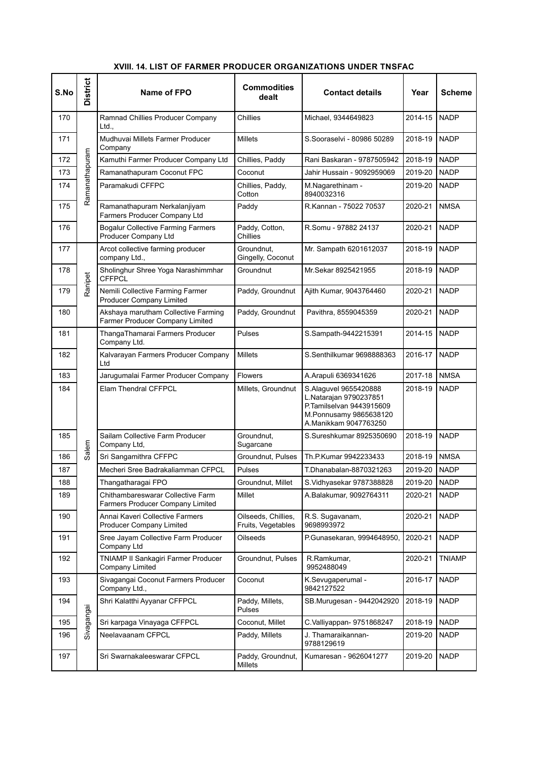| S.No | <b>District</b> | Name of FPO                                                            | <b>Commodities</b><br>dealt               | <b>Contact details</b>                                                                                                         | Year    | <b>Scheme</b> |
|------|-----------------|------------------------------------------------------------------------|-------------------------------------------|--------------------------------------------------------------------------------------------------------------------------------|---------|---------------|
| 170  |                 | Ramnad Chillies Producer Company<br>Ltd.,                              | Chillies                                  | Michael, 9344649823                                                                                                            | 2014-15 | <b>NADP</b>   |
| 171  |                 | Mudhuvai Millets Farmer Producer<br>Company                            | <b>Millets</b>                            | S.Sooraselvi - 80986 50289                                                                                                     | 2018-19 | <b>NADP</b>   |
| 172  |                 | Kamuthi Farmer Producer Company Ltd                                    | Chillies, Paddy                           | Rani Baskaran - 9787505942                                                                                                     | 2018-19 | <b>NADP</b>   |
| 173  |                 | Ramanathapuram Coconut FPC                                             | Coconut                                   | Jahir Hussain - 9092959069                                                                                                     | 2019-20 | <b>NADP</b>   |
| 174  | Ramanathapuram  | Paramakudi CFFPC                                                       | Chillies, Paddy,<br>Cotton                | M.Nagarethinam -<br>8940032316                                                                                                 | 2019-20 | <b>NADP</b>   |
| 175  |                 | Ramanathapuram Nerkalanjiyam<br>Farmers Producer Company Ltd           | Paddy                                     | R.Kannan - 75022 70537                                                                                                         | 2020-21 | <b>NMSA</b>   |
| 176  |                 | <b>Bogalur Collective Farming Farmers</b><br>Producer Company Ltd      | Paddy, Cotton,<br>Chillies                | R.Somu - 97882 24137                                                                                                           | 2020-21 | <b>NADP</b>   |
| 177  |                 | Arcot collective farming producer<br>company Ltd.,                     | Groundnut,<br>Gingelly, Coconut           | Mr. Sampath 6201612037                                                                                                         | 2018-19 | <b>NADP</b>   |
| 178  | Ranipet         | Sholinghur Shree Yoga Narashimmhar<br><b>CFFPCL</b>                    | Groundnut                                 | Mr.Sekar 8925421955                                                                                                            | 2018-19 | <b>NADP</b>   |
| 179  |                 | Nemili Collective Farming Farmer<br><b>Producer Company Limited</b>    | Paddy, Groundnut                          | Ajith Kumar, 9043764460                                                                                                        | 2020-21 | <b>NADP</b>   |
| 180  |                 | Akshaya marutham Collective Farming<br>Farmer Producer Company Limited | Paddy, Groundnut                          | Pavithra, 8559045359                                                                                                           | 2020-21 | <b>NADP</b>   |
| 181  |                 | ThangaThamarai Farmers Producer<br>Company Ltd.                        | Pulses                                    | S.Sampath-9442215391                                                                                                           | 2014-15 | <b>NADP</b>   |
| 182  |                 | Kalvarayan Farmers Producer Company<br>Ltd                             | <b>Millets</b>                            | S.Senthilkumar 9698888363                                                                                                      | 2016-17 | <b>NADP</b>   |
| 183  |                 | Jarugumalai Farmer Producer Company                                    | Flowers                                   | A.Arapuli 6369341626                                                                                                           | 2017-18 | <b>NMSA</b>   |
| 184  |                 | <b>Elam Thendral CFFPCL</b>                                            | Millets, Groundnut                        | S.Alaguvel 9655420888<br>L.Natarajan 9790237851<br>P.Tamilselvan 9443915609<br>M.Ponnusamy 9865638120<br>A.Manikkam 9047763250 | 2018-19 | <b>NADP</b>   |
| 185  | Salem           | Sailam Collective Farm Producer<br>Company Ltd,                        | Groundnut,<br>Sugarcane                   | S.Sureshkumar 8925350690                                                                                                       | 2018-19 | <b>NADP</b>   |
| 186  |                 | Sri Sangamithra CFFPC                                                  | Groundnut, Pulses                         | Th.P.Kumar 9942233433                                                                                                          | 2018-19 | <b>NMSA</b>   |
| 187  |                 | Mecheri Sree Badrakaliamman CFPCL                                      | Pulses                                    | T.Dhanabalan-8870321263                                                                                                        | 2019-20 | <b>NADP</b>   |
| 188  |                 | Thangatharagai FPO                                                     | Groundnut, Millet                         | S.Vidhyasekar 9787388828                                                                                                       | 2019-20 | NADP          |
| 189  |                 | Chithambareswarar Collective Farm<br>Farmers Producer Company Limited  | Millet                                    | A.Balakumar, 9092764311                                                                                                        | 2020-21 | <b>NADP</b>   |
| 190  |                 | Annai Kaveri Collective Farmers<br><b>Producer Company Limited</b>     | Oilseeds, Chillies,<br>Fruits, Vegetables | R.S. Sugavanam,<br>9698993972                                                                                                  | 2020-21 | <b>NADP</b>   |
| 191  |                 | Sree Jayam Collective Farm Producer<br>Company Ltd                     | Oilseeds                                  | P.Gunasekaran, 9994648950,                                                                                                     | 2020-21 | <b>NADP</b>   |
| 192  |                 | TNIAMP II Sankagiri Farmer Producer<br>Company Limited                 | Groundnut, Pulses                         | R.Ramkumar,<br>9952488049                                                                                                      | 2020-21 | <b>TNIAMP</b> |
| 193  |                 | Sivagangai Coconut Farmers Producer<br>Company Ltd.,                   | Coconut                                   | K.Sevugaperumal -<br>9842127522                                                                                                | 2016-17 | <b>NADP</b>   |
| 194  | Sivagangai      | Shri Kalatthi Ayyanar CFFPCL                                           | Paddy, Millets,<br>Pulses                 | SB.Murugesan - 9442042920                                                                                                      | 2018-19 | <b>NADP</b>   |
| 195  |                 | Sri karpaga Vinayaga CFFPCL                                            | Coconut, Millet                           | C. Valliyappan- 9751868247                                                                                                     | 2018-19 | <b>NADP</b>   |
| 196  |                 | Neelavaanam CFPCL                                                      | Paddy, Millets                            | J. Thamaraikannan-<br>9788129619                                                                                               | 2019-20 | <b>NADP</b>   |
| 197  |                 | Sri Swarnakaleeswarar CFPCL                                            | Paddy, Groundnut,<br>Millets              | Kumaresan - 9626041277                                                                                                         | 2019-20 | <b>NADP</b>   |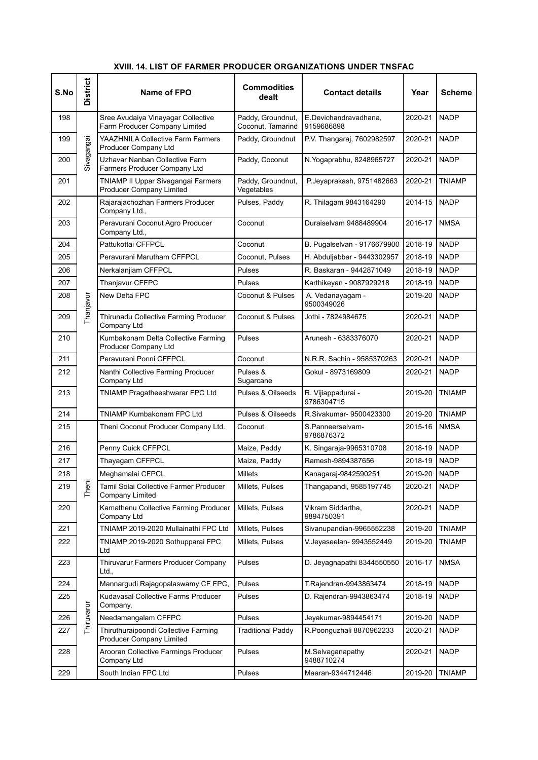| S.No | <b>District</b> | Name of FPO                                                           | <b>Commodities</b><br>dealt            | <b>Contact details</b>              | Year    | <b>Scheme</b> |
|------|-----------------|-----------------------------------------------------------------------|----------------------------------------|-------------------------------------|---------|---------------|
| 198  |                 | Sree Avudaiya Vinayagar Collective<br>Farm Producer Company Limited   | Paddy, Groundnut,<br>Coconut, Tamarind | E.Devichandravadhana,<br>9159686898 | 2020-21 | <b>NADP</b>   |
| 199  | Sivagangai      | YAAZHNILA Collective Farm Farmers<br>Producer Company Ltd             | Paddy, Groundnut                       | P.V. Thangaraj, 7602982597          | 2020-21 | <b>NADP</b>   |
| 200  |                 | Uzhavar Nanban Collective Farm<br>Farmers Producer Company Ltd        | Paddy, Coconut                         | N. Yogaprabhu, 8248965727           | 2020-21 | <b>NADP</b>   |
| 201  |                 | TNIAMP II Uppar Sivagangai Farmers<br><b>Producer Company Limited</b> | Paddy, Groundnut,<br>Vegetables        | P.Jeyaprakash, 9751482663           | 2020-21 | <b>TNIAMP</b> |
| 202  |                 | Rajarajachozhan Farmers Producer<br>Company Ltd.,                     | Pulses, Paddy                          | R. Thilagam 9843164290              | 2014-15 | <b>NADP</b>   |
| 203  |                 | Peravurani Coconut Agro Producer<br>Company Ltd.,                     | Coconut                                | Duraiselvam 9488489904              | 2016-17 | <b>NMSA</b>   |
| 204  |                 | Pattukottai CFFPCL                                                    | Coconut                                | B. Pugalselvan - 9176679900         | 2018-19 | <b>NADP</b>   |
| 205  |                 | Peravurani Marutham CFFPCL                                            | Coconut, Pulses                        | H. Abduljabbar - 9443302957         | 2018-19 | <b>NADP</b>   |
| 206  |                 | Nerkalanjiam CFFPCL                                                   | Pulses                                 | R. Baskaran - 9442871049            | 2018-19 | <b>NADP</b>   |
| 207  |                 | Thanjavur CFFPC                                                       | Pulses                                 | Karthikeyan - 9087929218            | 2018-19 | <b>NADP</b>   |
| 208  | Thanjavur       | New Delta FPC                                                         | Coconut & Pulses                       | A. Vedanayagam -<br>9500349026      | 2019-20 | <b>NADP</b>   |
| 209  |                 | Thirunadu Collective Farming Producer<br>Company Ltd                  | Coconut & Pulses                       | Jothi - 7824984675                  | 2020-21 | <b>NADP</b>   |
| 210  |                 | Kumbakonam Delta Collective Farming<br>Producer Company Ltd           | <b>Pulses</b>                          | Arunesh - 6383376070                | 2020-21 | <b>NADP</b>   |
| 211  |                 | Peravurani Ponni CFFPCL                                               | Coconut                                | N.R.R. Sachin - 9585370263          | 2020-21 | <b>NADP</b>   |
| 212  |                 | Nanthi Collective Farming Producer<br>Company Ltd                     | Pulses &<br>Sugarcane                  | Gokul - 8973169809                  | 2020-21 | <b>NADP</b>   |
| 213  |                 | TNIAMP Pragatheeshwarar FPC Ltd                                       | <b>Pulses &amp; Oilseeds</b>           | R. Vijiappadurai -<br>9786304715    | 2019-20 | <b>TNIAMP</b> |
| 214  |                 | TNIAMP Kumbakonam FPC Ltd                                             | Pulses & Oilseeds                      | R.Sivakumar- 9500423300             | 2019-20 | TNIAMP        |
| 215  |                 | Theni Coconut Producer Company Ltd.                                   | Coconut                                | S.Panneerselvam-<br>9786876372      | 2015-16 | <b>NMSA</b>   |
| 216  |                 | Penny Cuick CFFPCL                                                    | Maize, Paddy                           | K. Singaraja-9965310708             | 2018-19 | <b>NADP</b>   |
| 217  |                 | Thayagam CFFPCL                                                       | Maize, Paddy                           | Ramesh-9894387656                   | 2018-19 | <b>NADP</b>   |
| 218  |                 | Meghamalai CFPCL                                                      | Millets                                | Kanagaraj-9842590251                | 2019-20 | <b>NADP</b>   |
| 219  | Theni           | Tamil Solai Collective Farmer Producer<br>Company Limited             | Millets, Pulses                        | Thangapandi, 9585197745             | 2020-21 | <b>NADP</b>   |
| 220  |                 | Kamathenu Collective Farming Producer<br>Company Ltd                  | Millets, Pulses                        | Vikram Siddartha,<br>9894750391     | 2020-21 | <b>NADP</b>   |
| 221  |                 | TNIAMP 2019-2020 Mullainathi FPC Ltd                                  | Millets, Pulses                        | Sivanupandian-9965552238            | 2019-20 | <b>TNIAMP</b> |
| 222  |                 | TNIAMP 2019-2020 Sothupparai FPC<br>Ltd                               | Millets, Pulses                        | V.Jeyaseelan- 9943552449            | 2019-20 | <b>TNIAMP</b> |
| 223  |                 | Thiruvarur Farmers Producer Company<br>Ltd.,                          | Pulses                                 | D. Jeyagnapathi 8344550550          | 2016-17 | NMSA          |
| 224  |                 | Mannargudi Rajagopalaswamy CF FPC,                                    | Pulses                                 | T.Rajendran-9943863474              | 2018-19 | <b>NADP</b>   |
| 225  |                 | Kudavasal Collective Farms Producer<br>Company,                       | Pulses                                 | D. Rajendran-9943863474             | 2018-19 | NADP          |
| 226  | Thiruvarur      | Needamangalam CFFPC                                                   | Pulses                                 | Jeyakumar-9894454171                | 2019-20 | <b>NADP</b>   |
| 227  |                 | Thiruthuraipoondi Collective Farming<br>Producer Company Limited      | <b>Traditional Paddy</b>               | R.Poonguzhali 8870962233            | 2020-21 | NADP          |
| 228  |                 | Arooran Collective Farmings Producer<br>Company Ltd                   | Pulses                                 | M.Selvaganapathy<br>9488710274      | 2020-21 | NADP          |
| 229  |                 | South Indian FPC Ltd                                                  | Pulses                                 | Maaran-9344712446                   | 2019-20 | <b>TNIAMP</b> |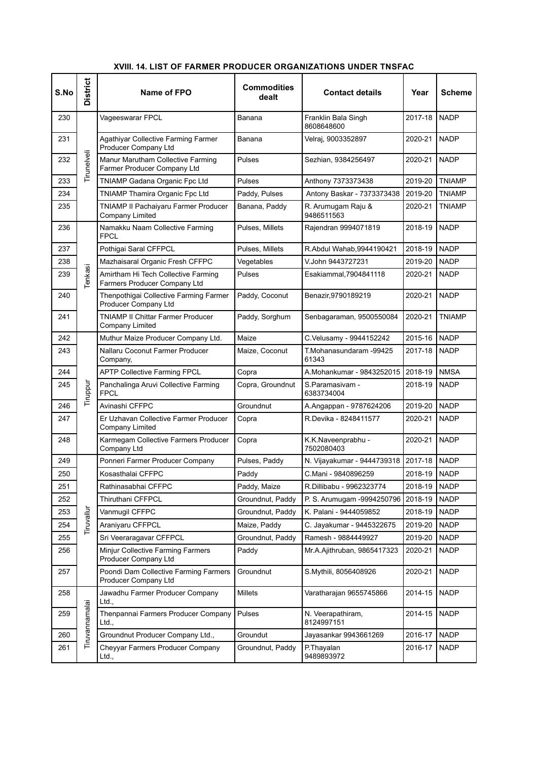| S.No | <b>District</b> | Name of FPO                                                         | <b>Commodities</b><br>dealt | <b>Contact details</b>            | Year         | Scheme        |
|------|-----------------|---------------------------------------------------------------------|-----------------------------|-----------------------------------|--------------|---------------|
| 230  |                 | Vageeswarar FPCL                                                    | Banana                      | Franklin Bala Singh<br>8608648600 | 2017-18      | <b>NADP</b>   |
| 231  |                 | Agathiyar Collective Farming Farmer<br>Producer Company Ltd         | Banana                      | Velraj, 9003352897                | 2020-21      | <b>NADP</b>   |
| 232  | Tirunelveli     | Manur Marutham Collective Farming<br>Farmer Producer Company Ltd    | Pulses                      | Sezhian, 9384256497               | 2020-21      | <b>NADP</b>   |
| 233  |                 | TNIAMP Gadana Organic Fpc Ltd                                       | Pulses                      | Anthony 7373373438                | 2019-20      | <b>TNIAMP</b> |
| 234  |                 | TNIAMP Thamira Organic Fpc Ltd                                      | Paddy, Pulses               | Antony Baskar - 7373373438        | 2019-20      | <b>TNIAMP</b> |
| 235  |                 | TNIAMP II Pachaiyaru Farmer Producer<br><b>Company Limited</b>      | Banana, Paddy               | R. Arumugam Raju &<br>9486511563  | 2020-21      | TNIAMP        |
| 236  |                 | Namakku Naam Collective Farming<br><b>FPCL</b>                      | Pulses, Millets             | Rajendran 9994071819              | 2018-19      | <b>NADP</b>   |
| 237  |                 | Pothigai Saral CFFPCL                                               | Pulses, Millets             | R.Abdul Wahab, 9944190421         | 2018-19      | <b>NADP</b>   |
| 238  |                 | Mazhaisaral Organic Fresh CFFPC                                     | Vegetables                  | V.John 9443727231                 | 2019-20      | <b>NADP</b>   |
| 239  | Tenkasi         | Amirtham Hi Tech Collective Farming<br>Farmers Producer Company Ltd | <b>Pulses</b>               | Esakiammal, 7904841118            | 2020-21      | <b>NADP</b>   |
| 240  |                 | Thenpothigai Collective Farming Farmer<br>Producer Company Ltd      | Paddy, Coconut              | Benazir, 9790189219               | 2020-21      | <b>NADP</b>   |
| 241  |                 | <b>TNIAMP II Chittar Farmer Producer</b><br>Company Limited         | Paddy, Sorghum              | Senbagaraman, 9500550084          | 2020-21      | TNIAMP        |
| 242  |                 | Muthur Maize Producer Company Ltd.                                  | Maize                       | C.Velusamy - 9944152242           | 2015-16      | <b>NADP</b>   |
| 243  |                 | Nallaru Coconut Farmer Producer<br>Company,                         | Maize, Coconut              | T.Mohanasundaram -99425<br>61343  | 2017-18      | <b>NADP</b>   |
| 244  |                 | <b>APTP Collective Farming FPCL</b>                                 | Copra                       | A.Mohankumar - 9843252015         | 2018-19      | <b>NMSA</b>   |
| 245  | Tiruppur        | Panchalinga Aruvi Collective Farming<br><b>FPCL</b>                 | Copra, Groundnut            | S.Paramasivam -<br>6383734004     | 2018-19      | <b>NADP</b>   |
| 246  |                 | Avinashi CFFPC                                                      | Groundnut                   | A.Angappan - 9787624206           | 2019-20      | <b>NADP</b>   |
| 247  |                 | Er Uzhavan Collective Farmer Producer<br><b>Company Limited</b>     | Copra                       | R.Devika - 8248411577             | 2020-21      | NADP          |
| 248  |                 | Karmegam Collective Farmers Producer<br>Company Ltd                 | Copra                       | K.K.Naveenprabhu -<br>7502080403  | 2020-21      | <b>NADP</b>   |
| 249  |                 | Ponneri Farmer Producer Company                                     | Pulses, Paddy               | N. Vijayakumar - 9444739318       | 2017-18      | <b>INADP</b>  |
| 250  |                 | Kosasthalai CFFPC                                                   | Paddy                       | C.Mani - 9840896259               | 2018-19 NADP |               |
| 251  |                 | Rathinasabhai CFFPC                                                 | Paddy, Maize                | R.Dillibabu - 9962323774          | 2018-19      | <b>NADP</b>   |
| 252  |                 | Thiruthani CFFPCL                                                   | Groundnut, Paddy            | P. S. Arumugam -9994250796        | 2018-19      | <b>NADP</b>   |
| 253  | Tiruvallur      | Vanmugil CFFPC                                                      | Groundnut, Paddy            | K. Palani - 9444059852            | 2018-19      | <b>NADP</b>   |
| 254  |                 | Araniyaru CFFPCL                                                    | Maize, Paddy                | C. Jayakumar - 9445322675         | 2019-20      | <b>NADP</b>   |
| 255  |                 | Sri Veeraragavar CFFPCL                                             | Groundnut, Paddy            | Ramesh - 9884449927               | 2019-20      | <b>NADP</b>   |
| 256  |                 | Minjur Collective Farming Farmers<br>Producer Company Ltd           | Paddy                       | Mr.A.Ajithruban, 9865417323       | 2020-21      | <b>NADP</b>   |
| 257  |                 | Poondi Dam Collective Farming Farmers<br>Producer Company Ltd       | Groundnut                   | S.Mythili, 8056408926             | 2020-21      | <b>NADP</b>   |
| 258  |                 | Jawadhu Farmer Producer Company<br>Ltd.,                            | <b>Millets</b>              | Varatharajan 9655745866           | 2014-15      | <b>NADP</b>   |
| 259  | Tiruvannamalai  | Thenpannai Farmers Producer Company<br>Ltd.,                        | Pulses                      | N. Veerapathiram,<br>8124997151   | 2014-15      | <b>NADP</b>   |
| 260  |                 | Groundnut Producer Company Ltd.,                                    | Groundut                    | Jayasankar 9943661269             | 2016-17      | <b>NADP</b>   |
| 261  |                 | Cheyyar Farmers Producer Company<br>Ltd.,                           | Groundnut, Paddy            | P.Thayalan<br>9489893972          | 2016-17      | <b>NADP</b>   |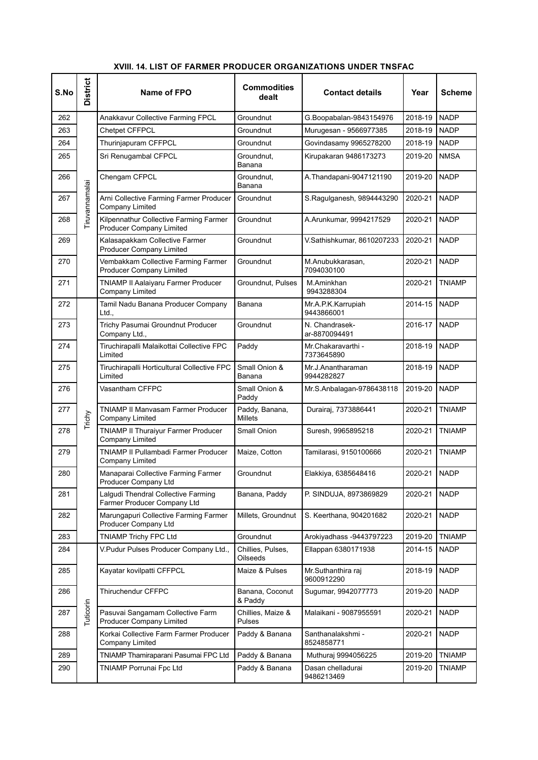| S.No | <b>District</b> | Name of FPO                                                               | <b>Commodities</b><br>dealt      | <b>Contact details</b>           | Year         | <b>Scheme</b> |
|------|-----------------|---------------------------------------------------------------------------|----------------------------------|----------------------------------|--------------|---------------|
| 262  |                 | Anakkavur Collective Farming FPCL                                         | Groundnut                        | G.Boopabalan-9843154976          | 2018-19      | <b>NADP</b>   |
| 263  |                 | <b>Chetpet CFFPCL</b>                                                     | Groundnut                        | Murugesan - 9566977385           | 2018-19      | <b>NADP</b>   |
| 264  |                 | Thurinjapuram CFFPCL                                                      | Groundnut                        | Govindasamy 9965278200           | 2018-19      | <b>NADP</b>   |
| 265  |                 | Sri Renugambal CFPCL                                                      | Groundnut,<br>Banana             | Kirupakaran 9486173273           | 2019-20      | <b>NMSA</b>   |
| 266  |                 | Chengam CFPCL                                                             | Groundnut.<br>Banana             | A.Thandapani-9047121190          | 2019-20      | <b>NADP</b>   |
| 267  | Tiruvannamalai  | Arni Collective Farming Farmer Producer<br><b>Company Limited</b>         | Groundnut                        | S.Ragulganesh, 9894443290        | 2020-21      | <b>NADP</b>   |
| 268  |                 | Kilpennathur Collective Farming Farmer<br><b>Producer Company Limited</b> | Groundnut                        | A.Arunkumar, 9994217529          | 2020-21      | <b>NADP</b>   |
| 269  |                 | Kalasapakkam Collective Farmer<br><b>Producer Company Limited</b>         | Groundnut                        | V.Sathishkumar, 8610207233       | 2020-21      | <b>NADP</b>   |
| 270  |                 | Vembakkam Collective Farming Farmer<br><b>Producer Company Limited</b>    | Groundnut                        | M.Anubukkarasan,<br>7094030100   | 2020-21      | <b>NADP</b>   |
| 271  |                 | TNIAMP II Aalaiyaru Farmer Producer<br>Company Limited                    | Groundnut, Pulses                | M.Aminkhan<br>9943288304         | 2020-21      | TNIAMP        |
| 272  |                 | Tamil Nadu Banana Producer Company<br>Ltd.,                               | Banana                           | Mr.A.P.K.Karrupiah<br>9443866001 | 2014-15      | <b>NADP</b>   |
| 273  |                 | Trichy Pasumai Groundnut Producer<br>Company Ltd.,                        | Groundnut                        | N. Chandrasek-<br>ar-8870094491  | 2016-17      | <b>NADP</b>   |
| 274  |                 | Tiruchirapalli Malaikottai Collective FPC<br>Limited                      | Paddy                            | Mr.Chakaravarthi -<br>7373645890 | 2018-19      | <b>NADP</b>   |
| 275  |                 | Tiruchirapalli Horticultural Collective FPC<br>Limited                    | Small Onion &<br>Banana          | Mr.J.Anantharaman<br>9944282827  | 2018-19      | <b>NADP</b>   |
| 276  |                 | Vasantham CFFPC                                                           | Small Onion &<br>Paddy           | Mr.S.Anbalagan-9786438118        | 2019-20      | <b>NADP</b>   |
| 277  | Trichy          | <b>TNIAMP II Manvasam Farmer Producer</b><br><b>Company Limited</b>       | Paddy, Banana,<br><b>Millets</b> | Durairaj, 7373886441             | 2020-21      | <b>TNIAMP</b> |
| 278  |                 | TNIAMP II Thuraiyur Farmer Producer<br><b>Company Limited</b>             | Small Onion                      | Suresh, 9965895218               | 2020-21      | <b>TNIAMP</b> |
| 279  |                 | TNIAMP II Pullambadi Farmer Producer<br>Company Limited                   | Maize, Cotton                    | Tamilarasi, 9150100666           | 2020-21      | <b>TNIAMP</b> |
| 280  |                 | Manaparai Collective Farming Farmer<br>Producer Company Ltd               | Groundnut                        | Elakkiya, 6385648416             | 2020-21 NADP |               |
| 281  |                 | Lalgudi Thendral Collective Farming<br>Farmer Producer Company Ltd        | Banana, Paddy                    | P. SINDUJA, 8973869829           | 2020-21      | NADP          |
| 282  |                 | Marungapuri Collective Farming Farmer<br>Producer Company Ltd             | Millets, Groundnut               | S. Keerthana, 904201682          | 2020-21      | <b>NADP</b>   |
| 283  |                 | TNIAMP Trichy FPC Ltd                                                     | Groundnut                        | Arokiyadhass -9443797223         | 2019-20      | <b>TNIAMP</b> |
| 284  |                 | V.Pudur Pulses Producer Company Ltd.,                                     | Chillies, Pulses,<br>Oilseeds    | Ellappan 6380171938              | 2014-15      | <b>NADP</b>   |
| 285  |                 | Kayatar kovilpatti CFFPCL                                                 | Maize & Pulses                   | Mr.Suthanthira raj<br>9600912290 | 2018-19      | <b>NADP</b>   |
| 286  |                 | Thiruchendur CFFPC                                                        | Banana, Coconut<br>& Paddy       | Sugumar, 9942077773              | 2019-20      | <b>NADP</b>   |
| 287  | Tuticorin       | Pasuvai Sangamam Collective Farm<br><b>Producer Company Limited</b>       | Chillies, Maize &<br>Pulses      | Malaikani - 9087955591           | 2020-21      | <b>NADP</b>   |
| 288  |                 | Korkai Collective Farm Farmer Producer<br>Company Limited                 | Paddy & Banana                   | Santhanalakshmi -<br>8524858771  | 2020-21      | <b>NADP</b>   |
| 289  |                 | TNIAMP Thamiraparani Pasumai FPC Ltd                                      | Paddy & Banana                   | Muthuraj 9994056225              | 2019-20      | <b>TNIAMP</b> |
| 290  |                 | TNIAMP Porrunai Fpc Ltd                                                   | Paddy & Banana                   | Dasan chelladurai<br>9486213469  | 2019-20      | <b>TNIAMP</b> |